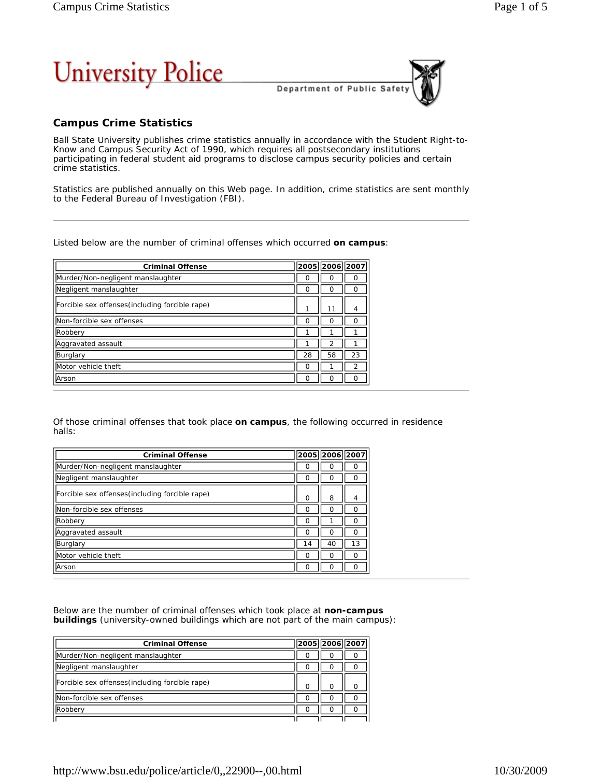

Department of Public Safet

## **Campus Crime Statistics**

Ball State University publishes crime statistics annually in accordance with the Student Right-to-Know and Campus Security Act of 1990, which requires all postsecondary institutions participating in federal student aid programs to disclose campus security policies and certain crime statistics.

Statistics are published annually on this Web page*.* In addition*,* crime statistics are sent monthly to the Federal Bureau of Investigation (FBI).

Listed below are the number of criminal offenses which occurred **on campus**:

| <b>Criminal Offense</b>                         |    | 2005 2006 2007 |                   |
|-------------------------------------------------|----|----------------|-------------------|
| Murder/Non-negligent manslaughter               | O  |                |                   |
| Negligent manslaughter                          | O  |                | $\mathbf{\Omega}$ |
| Forcible sex offenses (including forcible rape) |    | 11             | 4                 |
| Non-forcible sex offenses                       | Ω  | ი              | ∩                 |
| Robbery                                         |    |                |                   |
| Aggravated assault                              |    |                |                   |
| Burglary                                        | 28 | 58             | 23                |
| Motor vehicle theft                             | Ω  |                | 2                 |
| Arson                                           | Ω  | Ω              | ∩                 |

Of those criminal offenses that took place **on campus**, the following occurred in residence halls:

| <b>Criminal Offense</b>                          |          | 2005 2006 2007 |    |
|--------------------------------------------------|----------|----------------|----|
| Murder/Non-negligent manslaughter                |          | O              |    |
| Negligent manslaughter                           | ∩        | Ω              | Ω  |
| [Forcible sex offenses(including forcible rape)] | $\Omega$ | 8              | 4  |
| Non-forcible sex offenses                        |          | Ω              | ∩  |
| Robbery                                          | $\Omega$ |                | ი  |
| Aggravated assault                               |          | Ω              | ∩  |
| Burglary                                         | 14       | 40             | 13 |
| Motor vehicle theft                              | $\Omega$ | Ω              | Ω  |
| Arson                                            |          |                |    |

Below are the number of criminal offenses which took place at **non-campus buildings** (university-owned buildings which are not part of the main campus):

| <b>Criminal Offense</b>                         |   | 2005 2006 2007 |  |
|-------------------------------------------------|---|----------------|--|
| Murder/Non-negligent manslaughter               |   |                |  |
| Negligent manslaughter                          |   |                |  |
| Forcible sex offenses (including forcible rape) | ∩ | ∩              |  |
| Non-forcible sex offenses                       | ∩ |                |  |
| Robberv                                         |   |                |  |
|                                                 |   |                |  |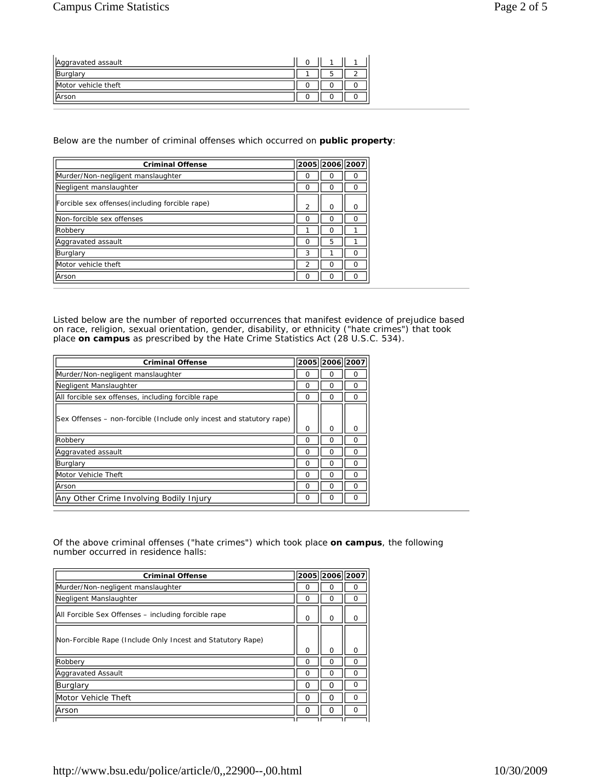| Aggravated assault  |  |  |
|---------------------|--|--|
| Burglan             |  |  |
| Motor vehicle theft |  |  |
| Arson               |  |  |

## Below are the number of criminal offenses which occurred on **public property**:

| <b>Criminal Offense</b>                         |                | 2005 2006 2007 |   |
|-------------------------------------------------|----------------|----------------|---|
| Murder/Non-negligent manslaughter               | O              |                |   |
| Negligent manslaughter                          | O              |                | O |
| Forcible sex offenses (including forcible rape) | $\overline{2}$ | ი              | ი |
| Non-forcible sex offenses                       | ი              |                | Ω |
| Robbery                                         |                |                |   |
| Aggravated assault                              | Ω              | 5              |   |
| Burglary                                        | 3              |                | n |
| Motor vehicle theft                             | 2              |                | Ω |
| Arson                                           | Ω              |                | ∩ |

Listed below are the number of reported occurrences that manifest evidence of prejudice based on race, religion, sexual orientation, gender, disability, or ethnicity ("hate crimes") that took place **on campus** as prescribed by the Hate Crime Statistics Act (28 U.S.C. 534).

| <b>Criminal Offense</b>                                              | 2005     | 2006 2007 |   |
|----------------------------------------------------------------------|----------|-----------|---|
| Murder/Non-negligent manslaughter                                    | O        | ∩         | n |
| Negligent Manslaughter                                               | O        | ∩         | ∩ |
| All forcible sex offenses, including forcible rape                   | Ω        | Ω         | Ω |
| Sex Offenses – non-forcible (Include only incest and statutory rape) | $\Omega$ | O         | O |
| Robberv                                                              | O        | ∩         | ი |
| Aggravated assault                                                   | ∩        | ∩         | ∩ |
| Burglary                                                             | Ω        | ∩         | Ω |
| Motor Vehicle Theft                                                  | $\Omega$ | ∩         | O |
| Arson                                                                | ∩        | $\Omega$  | ∩ |
| Any Other Crime Involving Bodily Injury                              | $\Omega$ | ∩         | O |

Of the above criminal offenses ("hate crimes") which took place **on campus**, the following number occurred in residence halls:

| <b>Criminal Offense</b>                                    |          | 2005  2006  2007 |          |
|------------------------------------------------------------|----------|------------------|----------|
| Murder/Non-negligent manslaughter                          | Ω        | ი                | 0        |
| Negligent Manslaughter                                     | O        | Ω                | O        |
| All Forcible Sex Offenses – including forcible rape        | $\Omega$ | $\Omega$         | O        |
| Non-Forcible Rape (Include Only Incest and Statutory Rape) | $\Omega$ | $\Omega$         | O        |
| Robbery                                                    | ∩        | ი                | ი        |
| <b>Aggravated Assault</b>                                  | O        | O                | O        |
| Burglary                                                   | O        | O                | $\Omega$ |
| Motor Vehicle Theft                                        | n        | O                | O        |
| Arson                                                      | O        | O                | $\Omega$ |
|                                                            |          |                  |          |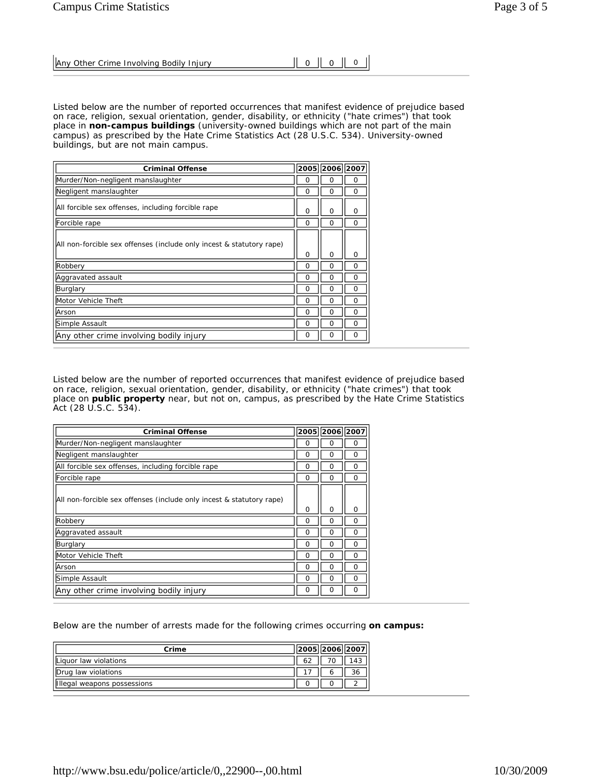| Any Other Crime Involving Bodily Injury | $\parallel$ 0 $\parallel$ 0 $\parallel$ 0 |  |  |
|-----------------------------------------|-------------------------------------------|--|--|
|-----------------------------------------|-------------------------------------------|--|--|

Listed below are the number of reported occurrences that manifest evidence of prejudice based on race, religion, sexual orientation, gender, disability, or ethnicity ("hate crimes") that took place in **non-campus buildings** (university-owned buildings which are not part of the main campus) as prescribed by the Hate Crime Statistics Act (28 U.S.C. 534). University-owned buildings, but are not main campus.

| <b>Criminal Offense</b>                                              |          | 2005 2006 2007 |          |
|----------------------------------------------------------------------|----------|----------------|----------|
| Murder/Non-negligent manslaughter                                    | O        | Ο              | Ω        |
| Negligent manslaughter                                               | $\Omega$ | Ω              | $\Omega$ |
| All forcible sex offenses, including forcible rape                   | $\Omega$ | $\Omega$       | ∩        |
| Forcible rape                                                        | O        | Ω              | Ω        |
| All non-forcible sex offenses (include only incest & statutory rape) | $\Omega$ | O              | O        |
| Robbery                                                              | $\Omega$ | Ω              | Ω        |
| Aggravated assault                                                   | O        | Ω              | Ω        |
| Burglary                                                             | $\Omega$ | O              | U        |
| Motor Vehicle Theft                                                  | $\Omega$ | Ω              | O        |
| Arson                                                                | $\Omega$ | Ω              | O        |
| Simple Assault                                                       | $\Omega$ | Ω              | O        |
| Any other crime involving bodily injury                              | $\Omega$ | Ω              | $\Omega$ |

Listed below are the number of reported occurrences that manifest evidence of prejudice based on race, religion, sexual orientation, gender, disability, or ethnicity ("hate crimes") that took place on **public property** near, but not on, campus, as prescribed by the Hate Crime Statistics Act (28 U.S.C. 534).

| <b>Criminal Offense</b>                                              |          | 2005 2006 2007 |   |
|----------------------------------------------------------------------|----------|----------------|---|
| Murder/Non-negligent manslaughter                                    | Ω        | Ω              | O |
| Negligent manslaughter                                               | O        | $\Omega$       | Ω |
| All forcible sex offenses, including forcible rape                   | Ω        | Ω              | Ω |
| Forcible rape                                                        | $\Omega$ | $\Omega$       | Ω |
| All non-forcible sex offenses (include only incest & statutory rape) | $\Omega$ | $\Omega$       | Ω |
| Robbery                                                              | O        | Ω              | 0 |
| Aggravated assault                                                   | O        | Ω              | O |
| Burglary                                                             | O        | Ω              |   |
| Motor Vehicle Theft                                                  | O        | O              | Ω |
| Arson                                                                | O        | O              | Ω |
| Simple Assault                                                       | O        | Ω              | Ω |
| Any other crime involving bodily injury                              | Ω        | O              | O |

Below are the number of arrests made for the following crimes occurring **on campus:**

| Crime                       | 2005  2006  2007 |     |
|-----------------------------|------------------|-----|
| Lliquor law violations      |                  | 143 |
| <b>IDrug law violations</b> |                  | 36  |
| Illegal weapons possessions |                  |     |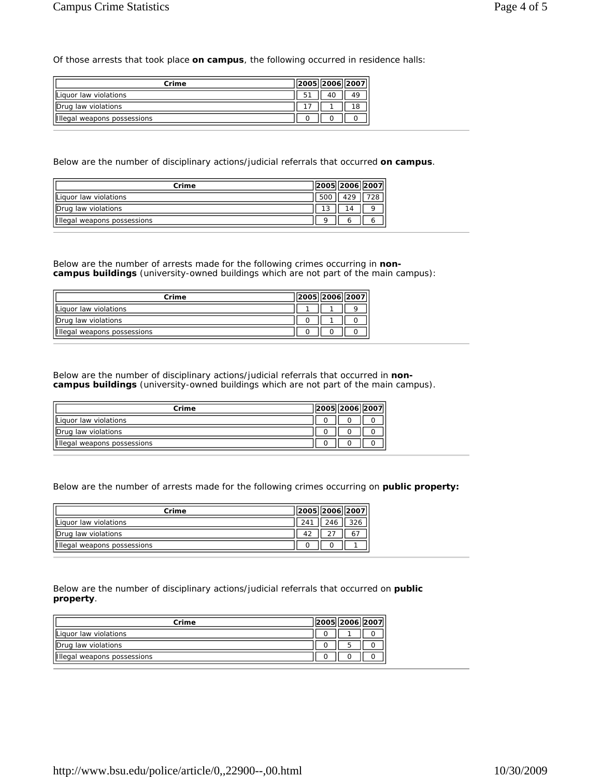Of those arrests that took place **on campus**, the following occurred in residence halls:

| Crime                       | 2005  2006  2007 |    |
|-----------------------------|------------------|----|
| Liquor law violations       |                  |    |
| Drug law violations         |                  | 18 |
| Illegal weapons possessions |                  |    |

Below are the number of disciplinary actions/judicial referrals that occurred **on campus**.

| Crime                       | 2005  2006  2007 |  |
|-----------------------------|------------------|--|
| Liquor law violations       | 1 2 Q            |  |
| Drug law violations         |                  |  |
| Illegal weapons possessions |                  |  |

Below are the number of arrests made for the following crimes occurring in **noncampus buildings** (university-owned buildings which are not part of the main campus):

| Crime                       |  | 2005  2006  2007 |
|-----------------------------|--|------------------|
| Liquor law violations       |  |                  |
| Drug law violations         |  |                  |
| Illegal weapons possessions |  |                  |

Below are the number of disciplinary actions/judicial referrals that occurred in **noncampus buildings** (university-owned buildings which are not part of the main campus).

| Crime                       | 2005  2006  2007 |  |
|-----------------------------|------------------|--|
| Lliquor law violations      |                  |  |
| Drug law violations         |                  |  |
| Illegal weapons possessions |                  |  |

Below are the number of arrests made for the following crimes occurring on **public property:**

| Crime                       |           | 2005  2006  2007 |
|-----------------------------|-----------|------------------|
| Liquor law violations       |           | 326              |
| Drug law violations         | $\Lambda$ |                  |
| Illegal weapons possessions |           |                  |

Below are the number of disciplinary actions/judicial referrals that occurred on **public property**.

| Crime                       |  | 2005  2006  2007 |
|-----------------------------|--|------------------|
| Liquor law violations       |  |                  |
| Drug law violations         |  |                  |
| Illegal weapons possessions |  |                  |